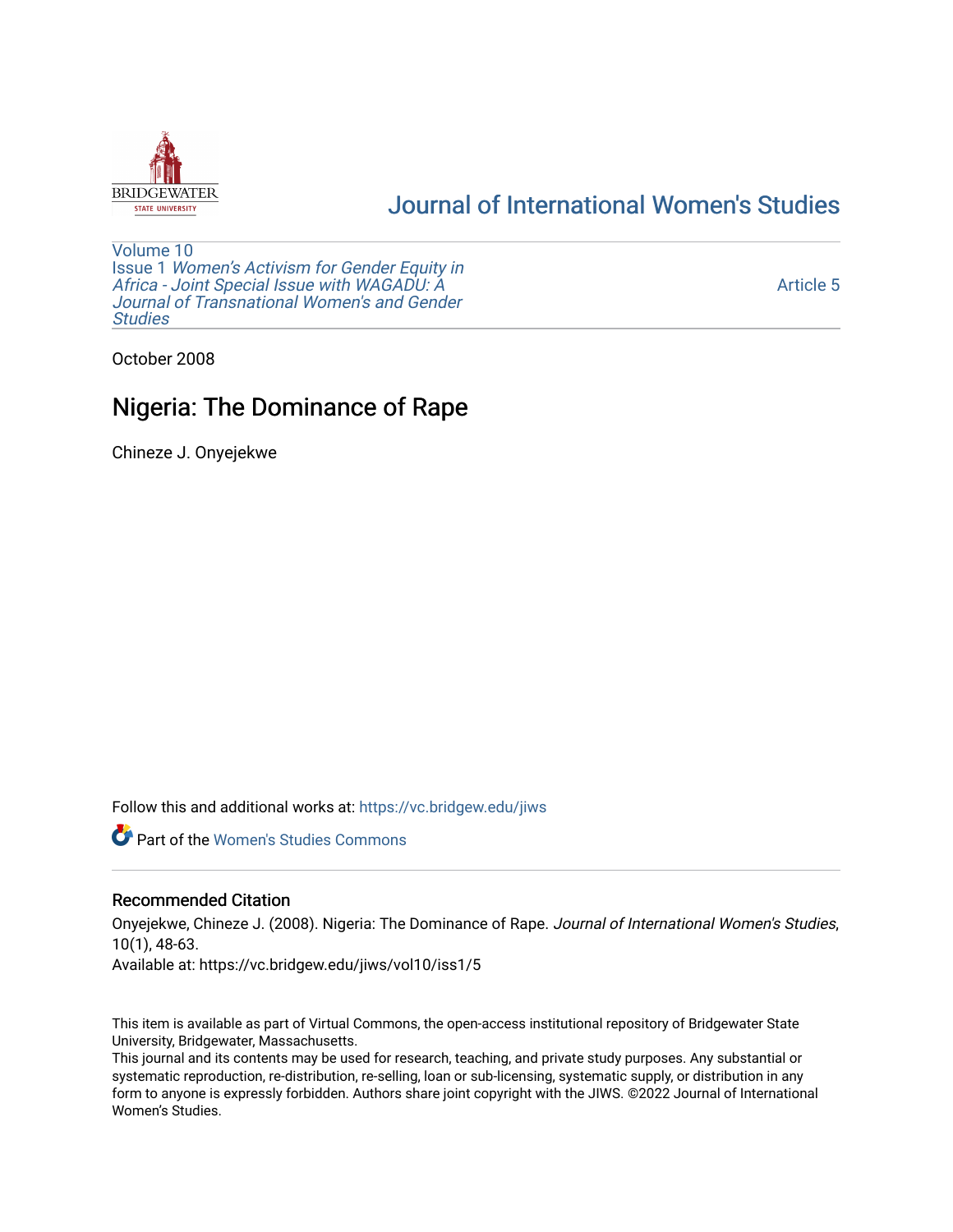

# [Journal of International Women's Studies](https://vc.bridgew.edu/jiws)

[Volume 10](https://vc.bridgew.edu/jiws/vol10) Issue 1 [Women's Activism for Gender Equity in](https://vc.bridgew.edu/jiws/vol10/iss1)  [Africa - Joint Special Issue with WAGADU: A](https://vc.bridgew.edu/jiws/vol10/iss1)  [Journal of Transnational Women's and Gender](https://vc.bridgew.edu/jiws/vol10/iss1)  **Studies** 

[Article 5](https://vc.bridgew.edu/jiws/vol10/iss1/5) 

October 2008

# Nigeria: The Dominance of Rape

Chineze J. Onyejekwe

Follow this and additional works at: [https://vc.bridgew.edu/jiws](https://vc.bridgew.edu/jiws?utm_source=vc.bridgew.edu%2Fjiws%2Fvol10%2Fiss1%2F5&utm_medium=PDF&utm_campaign=PDFCoverPages)

**C** Part of the Women's Studies Commons

### Recommended Citation

Onyejekwe, Chineze J. (2008). Nigeria: The Dominance of Rape. Journal of International Women's Studies, 10(1), 48-63.

Available at: https://vc.bridgew.edu/jiws/vol10/iss1/5

This item is available as part of Virtual Commons, the open-access institutional repository of Bridgewater State University, Bridgewater, Massachusetts.

This journal and its contents may be used for research, teaching, and private study purposes. Any substantial or systematic reproduction, re-distribution, re-selling, loan or sub-licensing, systematic supply, or distribution in any form to anyone is expressly forbidden. Authors share joint copyright with the JIWS. ©2022 Journal of International Women's Studies.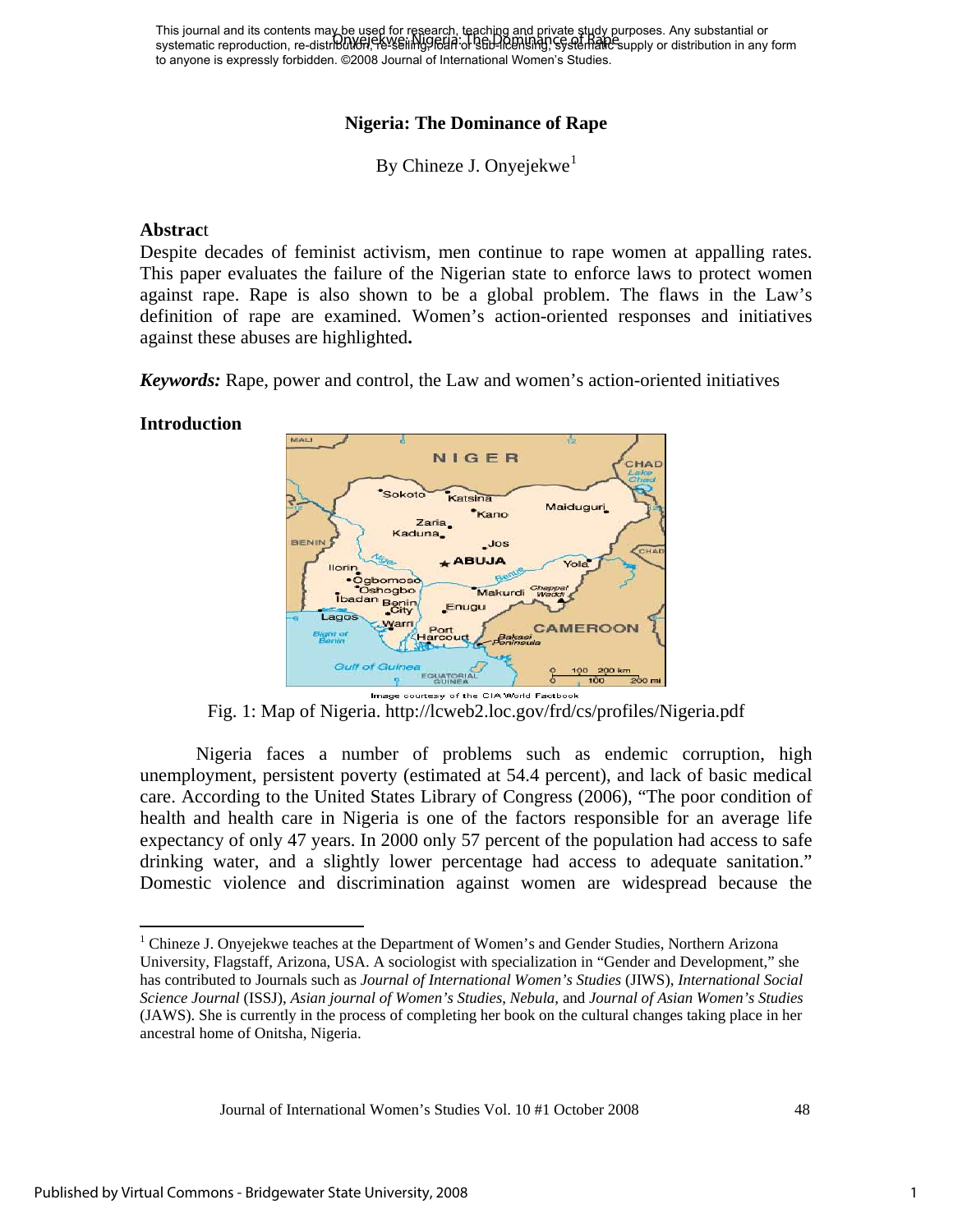This journal and its contents may be used for research, teaching and private study purposes. Any substantial or This journal and its contents may be distributed by the Dominan or supply particle supply parposes. Any substantial or<br>systematic reproduction, re-distribution, Existeming Felia or Stip-Rensing, Systematic supply or distri to anyone is expressly forbidden. ©2008 Journal of International Women's Studies.

## **Nigeria: The Dominance of Rape**

By Chineze J. Onyejekwe<sup>[1](#page-1-0)</sup>

#### **Abstrac**t

Despite decades of feminist activism, men continue to rape women at appalling rates. This paper evaluates the failure of the Nigerian state to enforce laws to protect women against rape. Rape is also shown to be a global problem. The flaws in the Law's definition of rape are examined. Women's action-oriented responses and initiatives against these abuses are highlighted**.**

*Keywords:* Rape, power and control, the Law and women's action-oriented initiatives

#### **Introduction**



Fig. 1: Map of Nigeria. http://lcweb2.loc.gov/frd/cs/profiles/Nigeria.pdf

Nigeria faces a number of problems such as endemic corruption, high unemployment, persistent poverty (estimated at 54.4 percent), and lack of basic medical care. According to the [United States Library of Congress](http://rds.yahoo.com/_ylt=A0geu6uxUyZGZ.QARJVXNyoA;_ylu=X3oDMTE5aDR2M2hoBGNvbG8DZQRsA1dTMQRwb3MDNwRzZWMDc3IEdnRpZANNQVAwMTlfMTA4/SIG=11rbqovm9/EXP=1177003313/**http%3a/lcweb2.loc.gov/frd/cs/kztoc.html) (2006), "The poor condition of health and health care in Nigeria is one of the factors responsible for an average life expectancy of only 47 years. In 2000 only 57 percent of the population had access to safe drinking water, and a slightly lower percentage had access to adequate sanitation." Domestic violence and discrimination against women are widespread because the

<span id="page-1-0"></span><sup>&</sup>lt;sup>1</sup> Chineze J. Onyejekwe teaches at the Department of Women's and Gender Studies, Northern Arizona University, Flagstaff, Arizona, USA. A sociologist with specialization in "Gender and Development," she has contributed to Journals such as *Journal of International Women's Studies* (JIWS), *International Social Science Journal* (ISSJ), *Asian journal of Women's Studies*, *Nebula*, and *Journal of Asian Women's Studies*  (JAWS). She is currently in the process of completing her book on the cultural changes taking place in her ancestral home of Onitsha, Nigeria.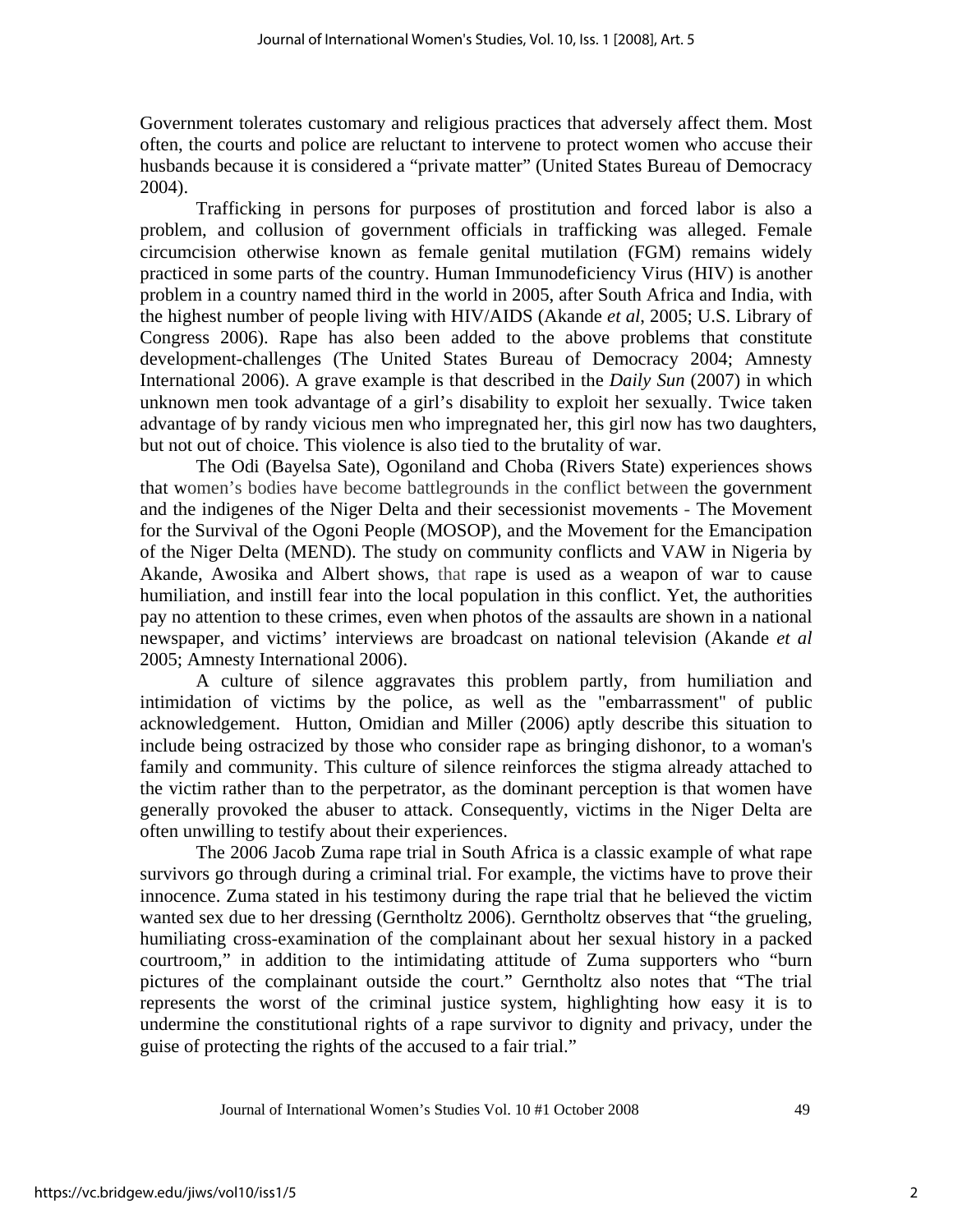Government tolerates customary and religious practices that adversely affect them. Most often, the courts and police are reluctant to intervene to protect women who accuse their husbands because it is considered a "private matter" (United States Bureau of Democracy 2004).

Trafficking in persons for purposes of prostitution and forced labor is also a problem, and collusion of government officials in trafficking was alleged. Female circumcision otherwise known as female genital mutilation (FGM) remains widely practiced in some parts of the country. Human Immunodeficiency Virus (HIV) is another problem in a country named third in the world in 2005, after South Africa and India, with the highest number of people living with HIV/AIDS (Akande *et al*, 2005; [U.S. Library of](http://rds.yahoo.com/_ylt=A0geu6uxUyZGZ.QARJVXNyoA;_ylu=X3oDMTE5aDR2M2hoBGNvbG8DZQRsA1dTMQRwb3MDNwRzZWMDc3IEdnRpZANNQVAwMTlfMTA4/SIG=11rbqovm9/EXP=1177003313/**http%3a/lcweb2.loc.gov/frd/cs/kztoc.html)  [Congress](http://rds.yahoo.com/_ylt=A0geu6uxUyZGZ.QARJVXNyoA;_ylu=X3oDMTE5aDR2M2hoBGNvbG8DZQRsA1dTMQRwb3MDNwRzZWMDc3IEdnRpZANNQVAwMTlfMTA4/SIG=11rbqovm9/EXP=1177003313/**http%3a/lcweb2.loc.gov/frd/cs/kztoc.html) 2006). Rape has also been added to the above problems that constitute development-challenges (The United States Bureau of Democracy 2004; Amnesty International 2006). A grave example is that described in the *Daily Sun* (2007) in which unknown men took advantage of a girl's disability to exploit her sexually. Twice taken advantage of by randy vicious men who impregnated her, this girl now has two daughters, but not out of choice. This violence is also tied to the brutality of war.

The Odi (Bayelsa Sate), Ogoniland and Choba (Rivers State) experiences shows that women's bodies have become battlegrounds in the conflict between the government and the indigenes of the Niger Delta and their secessionist movements - The Movement for the Survival of the Ogoni People (MOSOP), and the Movement for the Emancipation of the Niger Delta (MEND). The study on community conflicts and VAW in Nigeria by Akande, Awosika and Albert shows, that rape is used as a weapon of war to cause humiliation, and instill fear into the local population in this conflict. Yet, the authorities pay no attention to these crimes, even when photos of the assaults are shown in a national newspaper, and victims' interviews are broadcast on national television (Akande *et al* 2005; Amnesty International 2006).

A culture of silence aggravates this problem partly, from humiliation and intimidation of victims by the police, as well as the "embarrassment" of public acknowledgement. Hutton, Omidian and Miller (2006) aptly describe this situation to include being ostracized by those who consider rape as bringing dishonor, to a woman's family and community. This culture of silence reinforces the stigma already attached to the victim rather than to the perpetrator, as the dominant perception is that women have generally provoked the abuser to attack. Consequently, victims in the Niger Delta are often unwilling to testify about their experiences.

The 2006 Jacob Zuma rape trial in South Africa is a classic example of what rape survivors go through during a criminal trial. For example, the victims have to prove their innocence. Zuma stated in his testimony during the rape trial that he believed the victim wanted sex due to her dressing (Gerntholtz 2006). Gerntholtz observes that "the grueling, humiliating cross-examination of the complainant about her sexual history in a packed courtroom," in addition to the intimidating attitude of Zuma supporters who "burn pictures of the complainant outside the court." Gerntholtz also notes that "The trial represents the worst of the criminal justice system, highlighting how easy it is to undermine the constitutional rights of a rape survivor to dignity and privacy, under the guise of protecting the rights of the accused to a fair trial."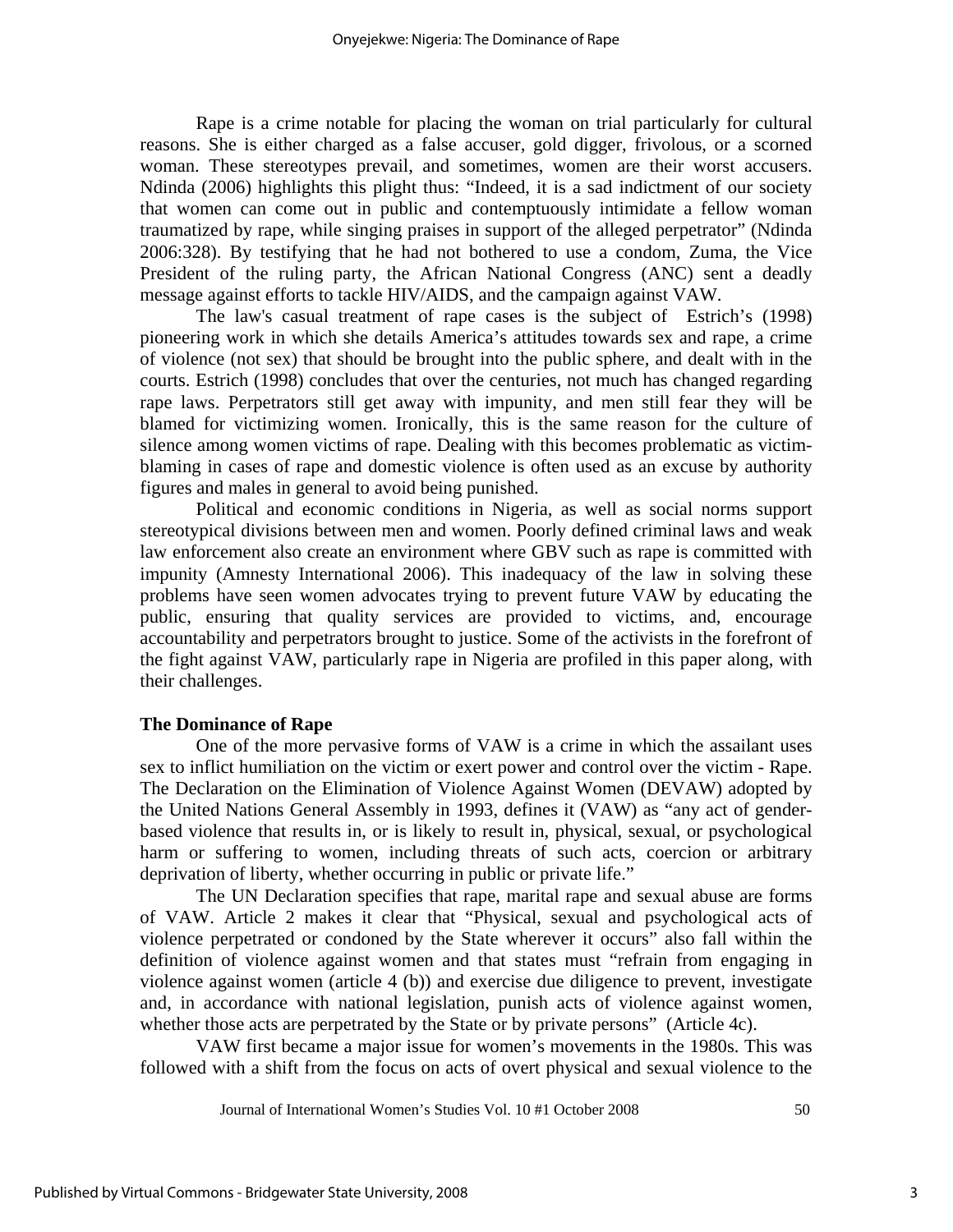Rape is a crime notable for placing the woman on trial particularly for cultural reasons. She is either charged as a false accuser, gold digger, frivolous, or a scorned woman. These stereotypes prevail, and sometimes, women are their worst accusers. Ndinda (2006) highlights this plight thus: "Indeed, it is a sad indictment of our society that women can come out in public and contemptuously intimidate a fellow woman traumatized by rape, while singing praises in support of the alleged perpetrator" (Ndinda 2006:328). By testifying that he had not bothered to use a condom, Zuma, the Vice President of the ruling party, the African National Congress (ANC) sent a deadly message against efforts to tackle HIV/AIDS, and the campaign against VAW.

The law's casual treatment of rape cases is the subject of Estrich's (1998) pioneering work in which she details America's attitudes towards sex and rape, a crime of violence (not sex) that should be brought into the public sphere, and dealt with in the courts. Estrich (1998) concludes that over the centuries, not much has changed regarding rape laws. Perpetrators still get away with impunity, and men still fear they will be blamed for victimizing women. Ironically, this is the same reason for the culture of silence among women victims of rape. Dealing with this becomes problematic as victimblaming in cases of rape and domestic violence is often used as an excuse by authority figures and males in general to avoid being punished.

Political and economic conditions in Nigeria, as well as social norms support stereotypical divisions between men and women. Poorly defined criminal laws and weak law enforcement also create an environment where GBV such as rape is committed with impunity (Amnesty International 2006). This inadequacy of the law in solving these problems have seen women advocates trying to prevent future VAW by educating the public, ensuring that quality services are provided to victims, and, encourage accountability and perpetrators brought to justice. Some of the activists in the forefront of the fight against VAW, particularly rape in Nigeria are profiled in this paper along, with their challenges.

### **The Dominance of Rape**

One of the more pervasive forms of VAW is a crime in which the assailant uses sex to inflict humiliation on the victim or exert power and control over the victim - Rape. The Declaration on the Elimination of Violence Against Women (DEVAW) adopted by the United Nations General Assembly in 1993, defines it (VAW) as "any act of genderbased violence that results in, or is likely to result in, physical, sexual, or psychological harm or suffering to women, including threats of such acts, coercion or arbitrary deprivation of liberty, whether occurring in public or private life."

The UN Declaration specifies that rape, marital rape and sexual abuse are forms of VAW. Article 2 makes it clear that "Physical, sexual and psychological acts of violence perpetrated or condoned by the State wherever it occurs" also fall within the definition of violence against women and that states must "refrain from engaging in violence against women (article 4 (b)) and exercise due diligence to prevent, investigate and, in accordance with national legislation, punish acts of violence against women, whether those acts are perpetrated by the State or by private persons" (Article 4c).

VAW first became a major issue for women's movements in the 1980s. This was followed with a shift from the focus on acts of overt physical and sexual violence to the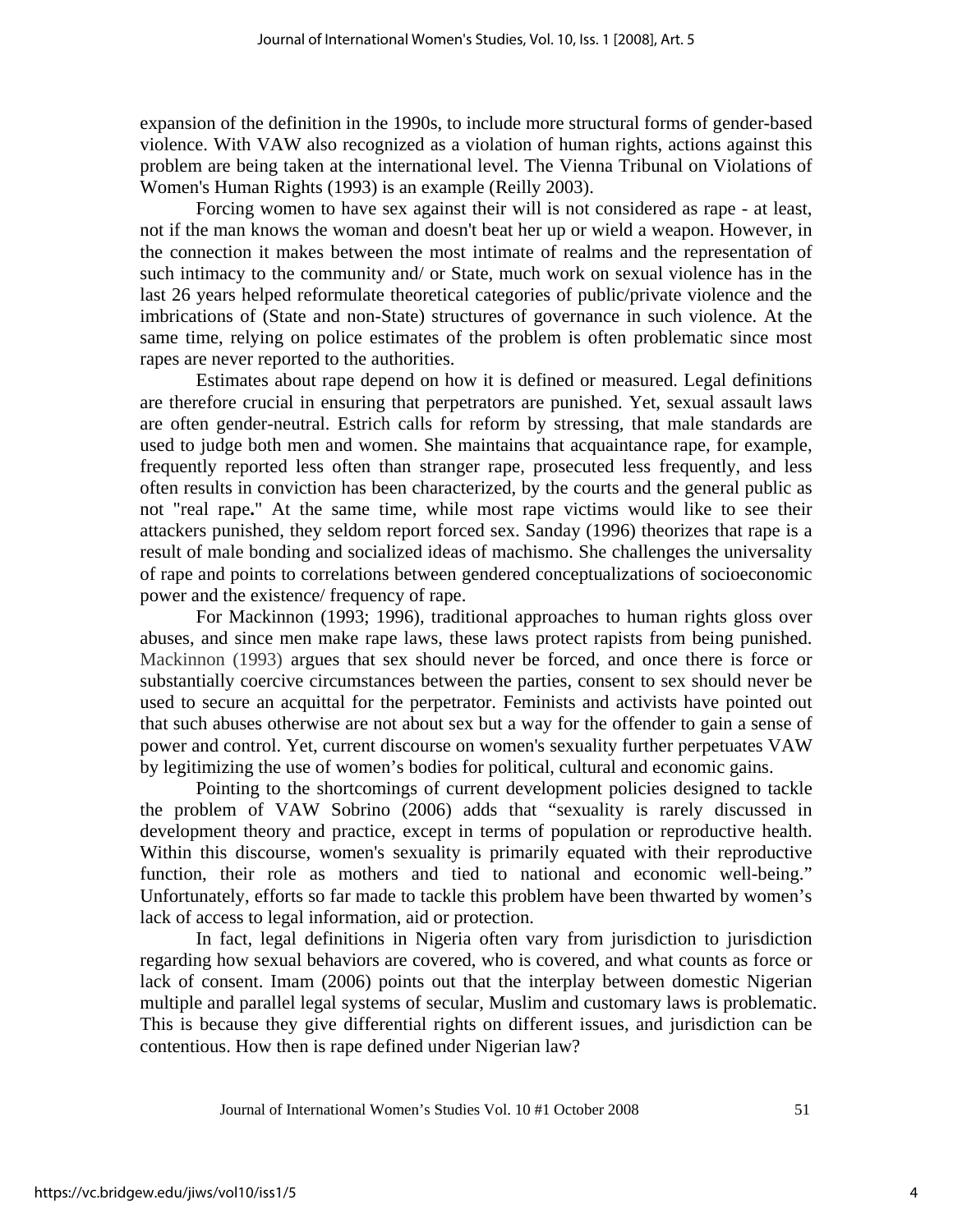expansion of the definition in the 1990s, to include more structural forms of gender-based violence. With VAW also recognized as a violation of human rights, actions against this problem are being taken at the international level. The Vienna Tribunal on Violations of Women's Human Rights (1993) is an example (Reilly 2003).

Forcing women to have sex against their will is not considered as rape - at least, not if the man knows the woman and doesn't beat her up or wield a weapon. However, in the connection it makes between the most intimate of realms and the representation of such intimacy to the community and/ or State, much work on sexual violence has in the last 26 years helped reformulate theoretical categories of public/private violence and the imbrications of (State and non-State) structures of governance in such violence. At the same time, relying on police estimates of the problem is often problematic since most rapes are never reported to the authorities.

Estimates about rape depend on how it is defined or measured. Legal definitions are therefore crucial in ensuring that perpetrators are punished. Yet, sexual assault laws are often gender-neutral. Estrich calls for reform by stressing, that male standards are used to judge both men and women. She maintains that acquaintance rape, for example, frequently reported less often than stranger rape, prosecuted less frequently, and less often results in conviction has been characterized, by the courts and the general public as not "real rape**.**" At the same time, while most rape victims would like to see their attackers punished, they seldom report forced sex. Sanday (1996) theorizes that rape is a result of male bonding and socialized ideas of machismo. She challenges the universality of rape and points to correlations between gendered conceptualizations of socioeconomic power and the existence/ frequency of rape.

For Mackinnon (1993; 1996), traditional approaches to human rights gloss over abuses, and since men make rape laws, these laws protect rapists from being punished. Mackinnon (1993) argues that sex should never be forced, and once there is force or substantially coercive circumstances between the parties, consent to sex should never be used to secure an acquittal for the perpetrator. Feminists and activists have pointed out that such abuses otherwise are not about sex but a way for the offender to gain a sense of power and control. Yet, current discourse on women's sexuality further perpetuates VAW by legitimizing the use of women's bodies for political, cultural and economic gains.

Pointing to the shortcomings of current development policies designed to tackle the problem of VAW Sobrino (2006) adds that "sexuality is rarely discussed in development theory and practice, except in terms of population or reproductive health. Within this discourse, women's sexuality is primarily equated with their reproductive function, their role as mothers and tied to national and economic well-being." Unfortunately, efforts so far made to tackle this problem have been thwarted by women's lack of access to legal information, aid or protection.

In fact, legal definitions in Nigeria often vary from jurisdiction to jurisdiction regarding how sexual behaviors are covered, who is covered, and what counts as force or lack of consent. Imam (2006) points out that the interplay between domestic Nigerian multiple and parallel legal systems of secular, Muslim and customary laws is problematic. This is because they give differential rights on different issues, and jurisdiction can be contentious. How then is rape defined under Nigerian law?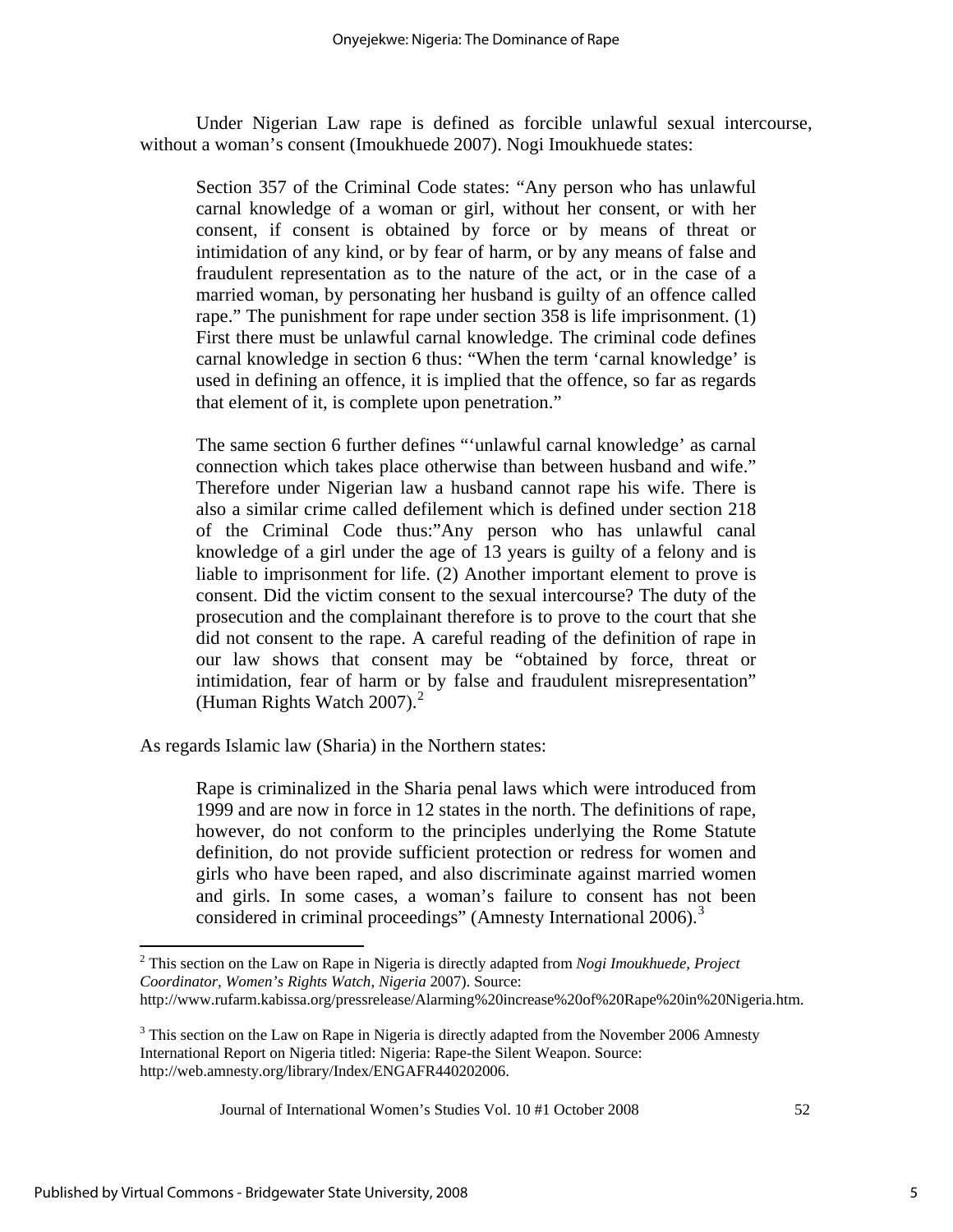Under Nigerian Law rape is defined as forcible unlawful sexual intercourse, without a woman's consent (Imoukhuede 2007). Nogi Imoukhuede states:

Section 357 of the Criminal Code states: "Any person who has unlawful carnal knowledge of a woman or girl, without her consent, or with her consent, if consent is obtained by force or by means of threat or intimidation of any kind, or by fear of harm, or by any means of false and fraudulent representation as to the nature of the act, or in the case of a married woman, by personating her husband is guilty of an offence called rape." The punishment for rape under section 358 is life imprisonment. (1) First there must be unlawful carnal knowledge. The criminal code defines carnal knowledge in section 6 thus: "When the term 'carnal knowledge' is used in defining an offence, it is implied that the offence, so far as regards that element of it, is complete upon penetration."

The same section 6 further defines "'unlawful carnal knowledge' as carnal connection which takes place otherwise than between husband and wife." Therefore under Nigerian law a husband cannot rape his wife. There is also a similar crime called defilement which is defined under section 218 of the Criminal Code thus:"Any person who has unlawful canal knowledge of a girl under the age of 13 years is guilty of a felony and is liable to imprisonment for life. (2) Another important element to prove is consent. Did the victim consent to the sexual intercourse? The duty of the prosecution and the complainant therefore is to prove to the court that she did not consent to the rape. A careful reading of the definition of rape in our law shows that consent may be "obtained by force, threat or intimidation, fear of harm or by false and fraudulent misrepresentation" (Human Rights Watch [2](#page-5-0)007). $^2$ 

As regards Islamic law (Sharia) in the Northern states:

Rape is criminalized in the Sharia penal laws which were introduced from 1999 and are now in force in 12 states in the north. The definitions of rape, however, do not conform to the principles underlying the Rome Statute definition, do not provide sufficient protection or redress for women and girls who have been raped, and also discriminate against married women and girls. In some cases, a woman's failure to consent has not been considered in criminal proceedings" (Amnesty International  $2006$ ).<sup>[3](#page-5-1)</sup>

<span id="page-5-0"></span> 2 This section on the Law on Rape in Nigeria is directly adapted from *Nogi Imoukhuede, Project Coordinator, Women's Rights Watch, Nigeria* 2007). Source: http://www.rufarm.kabissa.org/pressrelease/Alarming%20increase%20of%20Rape%20in%20Nigeria.htm.

<span id="page-5-1"></span> $3$  This section on the Law on Rape in Nigeria is directly adapted from the November 2006 Amnesty International Report on Nigeria titled: Nigeria: Rape-the Silent Weapon. Source: http://web.amnesty.org/library/Index/ENGAFR440202006.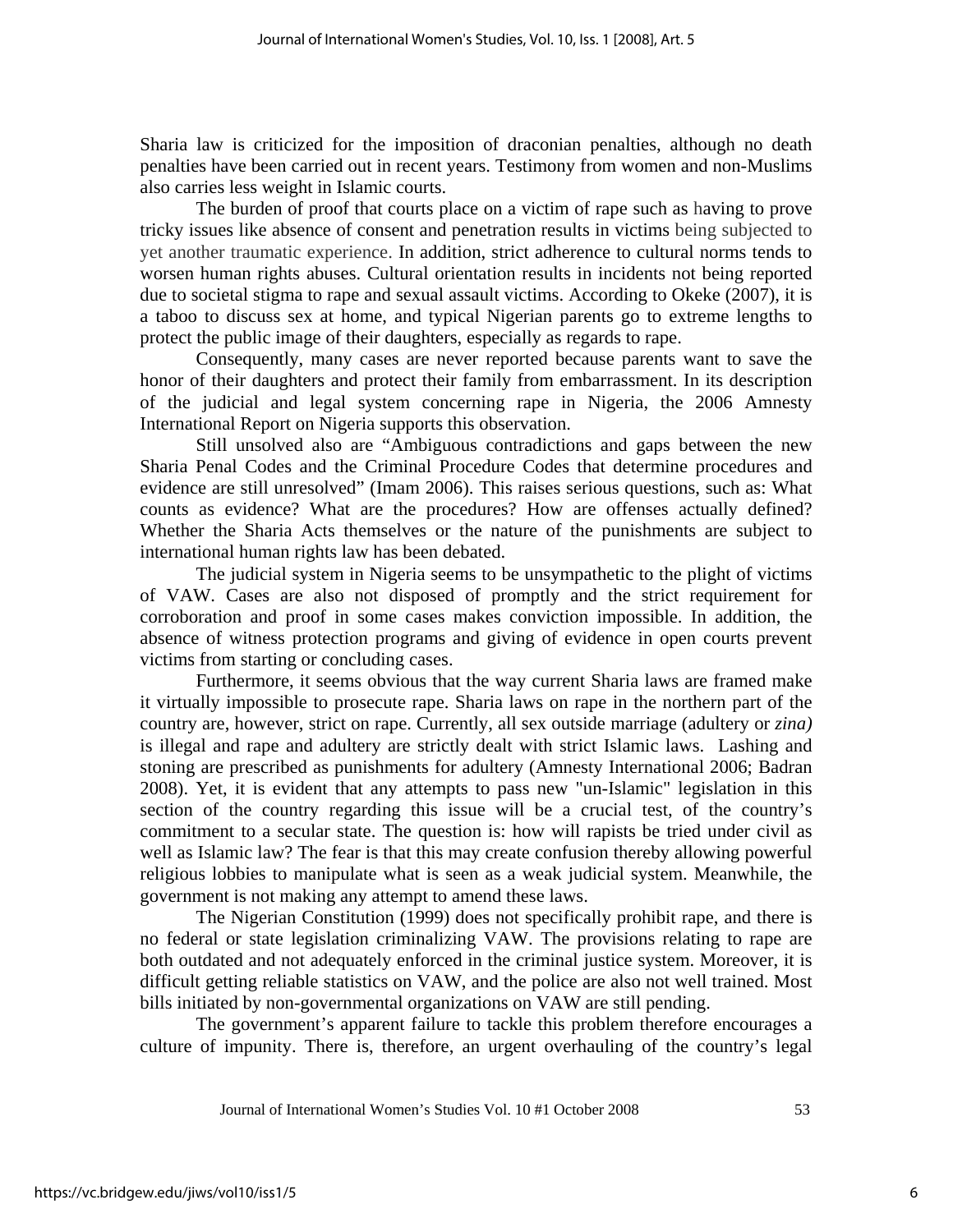Sharia law is criticized for the imposition of draconian penalties, although no death penalties have been carried out in recent years. Testimony from women and non-Muslims also carries less weight in Islamic courts.

The burden of proof that courts place on a victim of rape such as having to prove tricky issues like absence of consent and penetration results in victims being subjected to yet another traumatic experience. In addition, strict adherence to cultural norms tends to worsen human rights abuses. Cultural orientation results in incidents not being reported due to societal stigma to rape and sexual assault victims. According to Okeke (2007), it is a taboo to discuss sex at home, and typical Nigerian parents go to extreme lengths to protect the public image of their daughters, especially as regards to rape.

Consequently, many cases are never reported because parents want to save the honor of their daughters and protect their family from embarrassment. In its description of the judicial and legal system concerning rape in Nigeria, the 2006 Amnesty International Report on Nigeria supports this observation.

Still unsolved also are "Ambiguous contradictions and gaps between the new Sharia Penal Codes and the Criminal Procedure Codes that determine procedures and evidence are still unresolved" (Imam 2006). This raises serious questions, such as: What counts as evidence? What are the procedures? How are offenses actually defined? Whether the Sharia Acts themselves or the nature of the punishments are subject to international human rights law has been debated.

The judicial system in Nigeria seems to be unsympathetic to the plight of victims of VAW. Cases are also not disposed of promptly and the strict requirement for corroboration and proof in some cases makes conviction impossible. In addition, the absence of witness protection programs and giving of evidence in open courts prevent victims from starting or concluding cases.

Furthermore, it seems obvious that the way current Sharia laws are framed make it virtually impossible to prosecute rape. Sharia laws on rape in the northern part of the country are, however, strict on rape. Currently, all sex outside marriage (adultery or *zina)* is illegal and rape and adultery are strictly dealt with strict Islamic laws. Lashing and stoning are prescribed as punishments for adultery (Amnesty International 2006; Badran 2008). Yet, it is evident that any attempts to pass new "un-Islamic" legislation in this section of the country regarding this issue will be a crucial test, of the country's commitment to a secular state. The question is: how will rapists be tried under civil as well as Islamic law? The fear is that this may create confusion thereby allowing powerful religious lobbies to manipulate what is seen as a weak judicial system. Meanwhile, the government is not making any attempt to amend these laws.

The Nigerian Constitution (1999) does not specifically prohibit rape, and there is no federal or state legislation criminalizing VAW. The provisions relating to rape are both outdated and not adequately enforced in the criminal justice system. Moreover, it is difficult getting reliable statistics on VAW, and the police are also not well trained. Most bills initiated by non-governmental organizations on VAW are still pending.

The government's apparent failure to tackle this problem therefore encourages a culture of impunity. There is, therefore, an urgent overhauling of the country's legal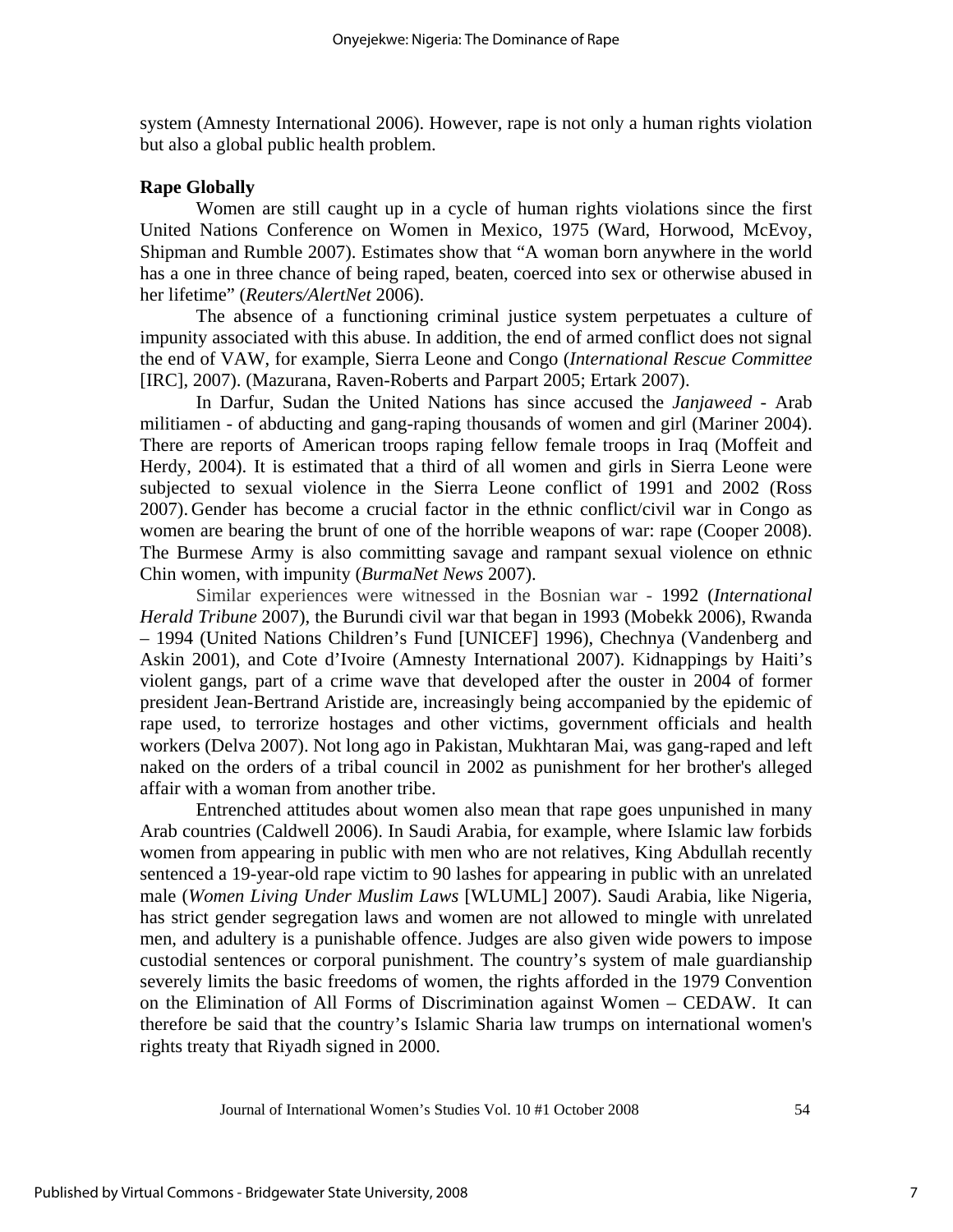system (Amnesty International 2006). However, rape is not only a human rights violation but also a global public health problem.

### **Rape Globally**

Women are still caught up in a cycle of human rights violations since the first United Nations Conference on Women in Mexico, 1975 (Ward, Horwood, McEvoy, Shipman and Rumble 2007). Estimates show that "A woman born anywhere in the world has a one in three chance of being raped, beaten, coerced into sex or otherwise abused in her lifetime" (*Reuters/AlertNet* 2006).

The absence of a functioning criminal justice system perpetuates a culture of impunity associated with this abuse. In addition, the end of armed conflict does not signal the end of VAW, for example, Sierra Leone and Congo (*International Rescue Committee*  [IRC], 2007). (Mazurana, Raven-Roberts and Parpart 2005; Ertark 2007).

In Darfur, Sudan the United Nations has since accused the *Janjaweed* - Arab militiamen - of abducting and gang-raping thousands of women and girl (Mariner 2004). There are reports of American troops raping fellow female troops in Iraq (Moffeit and Herdy, 2004). It is estimated that a third of all women and girls in Sierra Leone were subjected to sexual violence in the Sierra Leone conflict of 1991 and 2002 (Ross 2007). Gender has become a crucial factor in the ethnic conflict/civil war in Congo as women are bearing the brunt of one of the horrible weapons of war: rape (Cooper 2008). The Burmese Army is also committing savage and rampant sexual violence on ethnic Chin women, with impunity (*BurmaNet News* 2007).

Similar experiences were witnessed in the Bosnian war - 1992 (*International Herald Tribune* 2007), the Burundi civil war that began in 1993 (Mobekk 2006), Rwanda – 1994 (United Nations Children's Fund [UNICEF] 1996), Chechnya (Vandenberg and Askin 2001), and Cote d'Ivoire (Amnesty International 2007). Kidnappings by Haiti's violent gangs, part of a crime wave that developed after the ouster in 2004 of former president Jean-Bertrand Aristide are, increasingly being accompanied by the epidemic of rape used, to terrorize hostages and other victims, government officials and health workers (Delva 2007). Not long ago in Pakistan, Mukhtaran Mai, was gang-raped and left naked on the orders of a tribal council in 2002 as punishment for her brother's alleged affair with a woman from another tribe.

Entrenched attitudes about women also mean that rape goes unpunished in many Arab countries (Caldwell 2006). In Saudi Arabia, for example, where Islamic law forbids women from appearing in public with men who are not relatives, King Abdullah recently sentenced a 19-year-old rape victim to 90 lashes for appearing in public with an unrelated male (*Women Living Under Muslim Laws* [WLUML] 2007). Saudi Arabia, like Nigeria, has strict gender segregation laws and women are not allowed to mingle with unrelated men, and adultery is a punishable offence. Judges are also given wide powers to impose custodial sentences or corporal punishment. The country's system of male guardianship severely limits the basic freedoms of women, the rights afforded in the 1979 Convention on the Elimination of All Forms of Discrimination against Women – CEDAW. It can therefore be said that the country's Islamic Sharia law trumps on international women's rights treaty that Riyadh signed in 2000.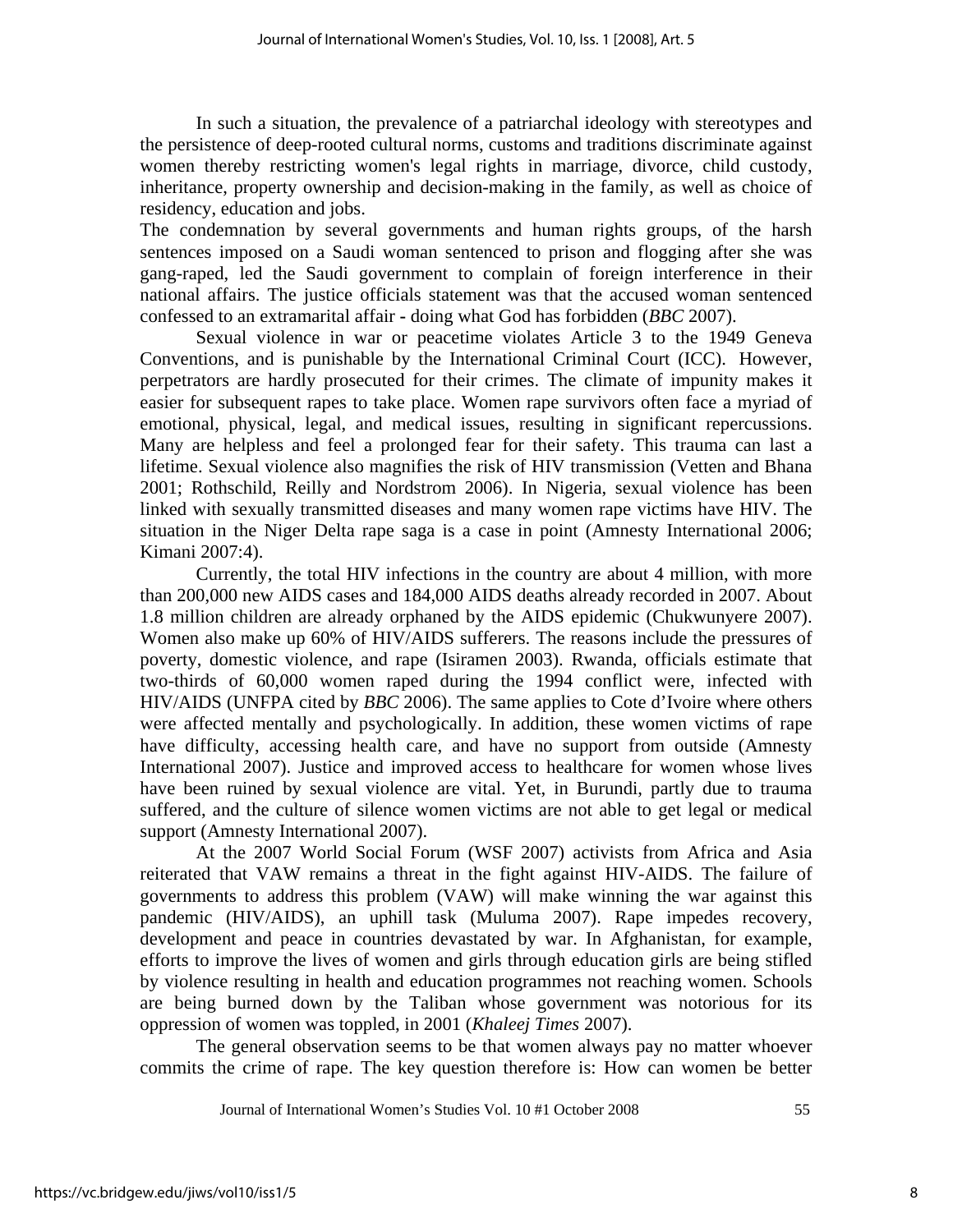In such a situation, the prevalence of a patriarchal ideology with stereotypes and the persistence of deep-rooted cultural norms, customs and traditions discriminate against women thereby restricting women's legal rights in marriage, divorce, child custody, inheritance, property ownership and decision-making in the family, as well as choice of residency, education and jobs.

The condemnation by several governments and human rights groups, of the harsh sentences imposed on a Saudi woman sentenced to prison and flogging after she was gang-raped, led the Saudi government to complain of foreign interference in their national affairs. The justice officials statement was that the accused woman sentenced confessed to an extramarital affair **-** doing what God has forbidden (*BBC* 2007).

Sexual violence in war or peacetime violates Article 3 to the 1949 Geneva Conventions, and is punishable by the International Criminal Court (ICC). However, perpetrators are hardly prosecuted for their crimes. The climate of impunity makes it easier for subsequent rapes to take place. Women rape survivors often face a myriad of emotional, physical, legal, and medical issues, resulting in significant repercussions. Many are helpless and feel a prolonged fear for their safety. This trauma can last a lifetime. Sexual violence also magnifies the risk of HIV transmission (Vetten and Bhana 2001; Rothschild, Reilly and Nordstrom 2006). In Nigeria, sexual violence has been linked with sexually transmitted diseases and many women rape victims have HIV. The situation in the Niger Delta rape saga is a case in point (Amnesty International 2006; Kimani 2007:4).

Currently, the total HIV infections in the country are about 4 million, with more than 200,000 new AIDS cases and 184,000 AIDS deaths already recorded in 2007. About 1.8 million children are already orphaned by the AIDS epidemic (Chukwunyere 2007). Women also make up 60% of HIV/AIDS sufferers. The reasons include the pressures of poverty, domestic violence, and rape (Isiramen 2003). Rwanda, officials estimate that two-thirds of 60,000 women raped during the 1994 conflict were, infected with HIV/AIDS (UNFPA cited by *BBC* 2006). The same applies to Cote d'Ivoire where others were affected mentally and psychologically. In addition, these women victims of rape have difficulty, accessing health care, and have no support from outside (Amnesty International 2007). Justice and improved access to healthcare for women whose lives have been ruined by sexual violence are vital. Yet, in Burundi, partly due to trauma suffered, and the culture of silence women victims are not able to get legal or medical support (Amnesty International 2007).

At the 2007 World Social Forum (WSF 2007) activists from Africa and Asia reiterated that VAW remains a threat in the fight against HIV-AIDS. The failure of governments to address this problem (VAW) will make winning the war against this pandemic (HIV/AIDS), an uphill task (Muluma 2007). Rape impedes recovery, development and peace in countries devastated by war. In Afghanistan, for example, efforts to improve the lives of women and girls through education girls are being stifled by violence resulting in health and education programmes not reaching women. Schools are being burned down by the Taliban whose government was notorious for its oppression of women was toppled, in 2001 (*Khaleej Times* 2007).

The general observation seems to be that women always pay no matter whoever commits the crime of rape. The key question therefore is: How can women be better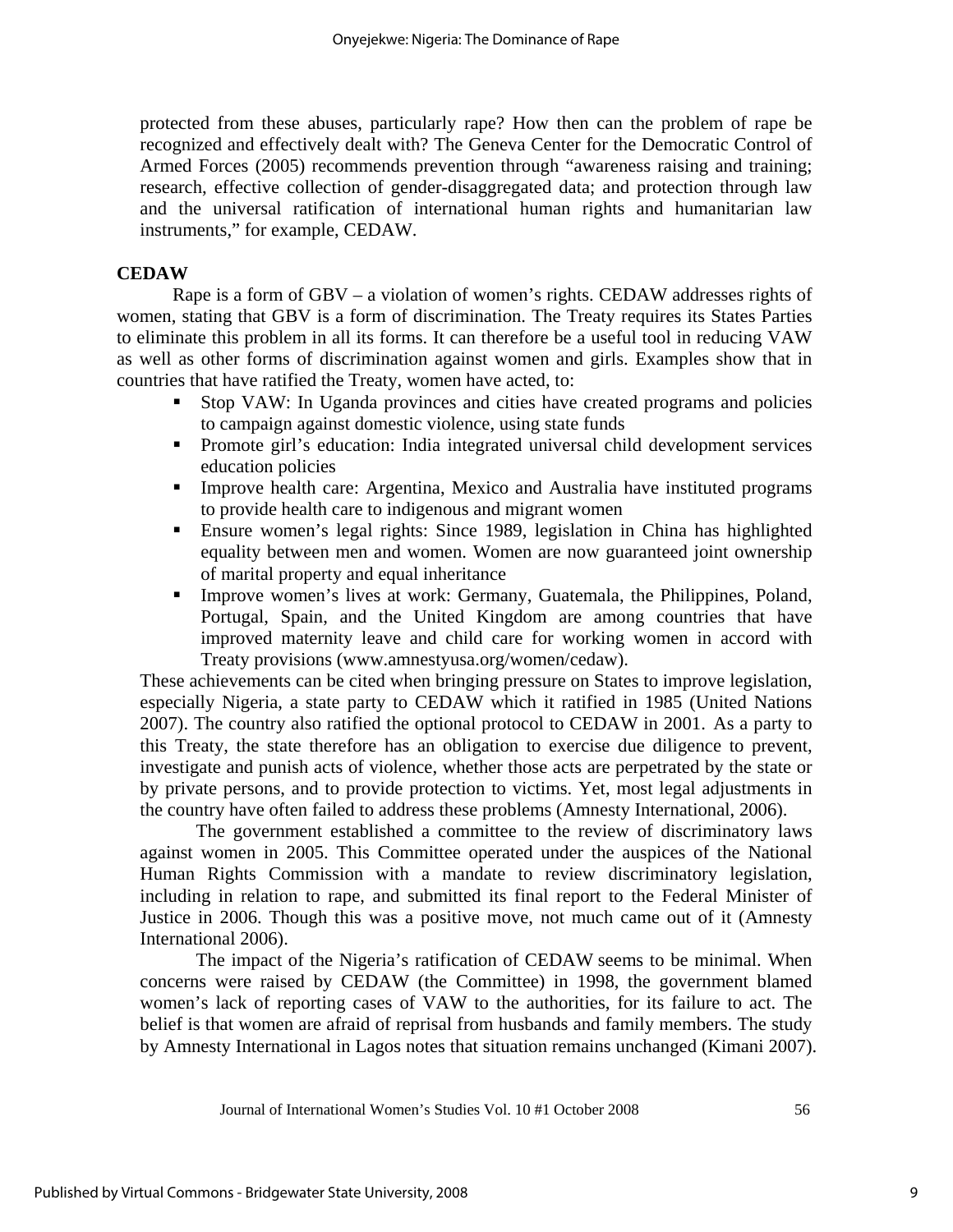protected from these abuses, particularly rape? How then can the problem of rape be recognized and effectively dealt with? The Geneva Center for the Democratic Control of Armed Forces (2005) recommends prevention through "awareness raising and training; research, effective collection of gender-disaggregated data; and protection through law and the universal ratification of international human rights and humanitarian law instruments," for example, CEDAW.

## **CEDAW**

Rape is a form of GBV – a violation of women's rights. CEDAW addresses rights of women, stating that GBV is a form of discrimination. The Treaty requires its States Parties to eliminate this problem in all its forms. It can therefore be a useful tool in reducing VAW as well as other forms of discrimination against women and girls. Examples show that in countries that have ratified the Treaty, women have acted, to:

- Stop VAW: In Uganda provinces and cities have created programs and policies to campaign against domestic violence, using state funds
- Promote girl's education: India integrated universal child development services education policies
- Improve health care: Argentina, Mexico and Australia have instituted programs to provide health care to indigenous and migrant women
- Ensure women's legal rights: Since 1989, legislation in China has highlighted equality between men and women. Women are now guaranteed joint ownership of marital property and equal inheritance
- Improve women's lives at work: Germany, Guatemala, the Philippines, Poland, Portugal, Spain, and the United Kingdom are among countries that have improved maternity leave and child care for working women in accord with Treaty provisions (www.amnestyusa.org/women/cedaw).

These achievements can be cited when bringing pressure on States to improve legislation, especially Nigeria, a state party to CEDAW which it ratified in 1985 (United Nations 2007). The country also ratified the optional protocol to CEDAW in 2001. As a party to this Treaty, the state therefore has an obligation to exercise due diligence to prevent, investigate and punish acts of violence, whether those acts are perpetrated by the state or by private persons, and to provide protection to victims. Yet, most legal adjustments in the country have often failed to address these problems (Amnesty International, 2006).

The government established a committee to the review of discriminatory laws against women in 2005. This Committee operated under the auspices of the National Human Rights Commission with a mandate to review discriminatory legislation, including in relation to rape, and submitted its final report to the Federal Minister of Justice in 2006. Though this was a positive move, not much came out of it (Amnesty International 2006).

The impact of the Nigeria's ratification of CEDAW seems to be minimal. When concerns were raised by CEDAW (the Committee) in 1998, the government blamed women's lack of reporting cases of VAW to the authorities, for its failure to act. The belief is that women are afraid of reprisal from husbands and family members. The study by Amnesty International in Lagos notes that situation remains unchanged (Kimani 2007).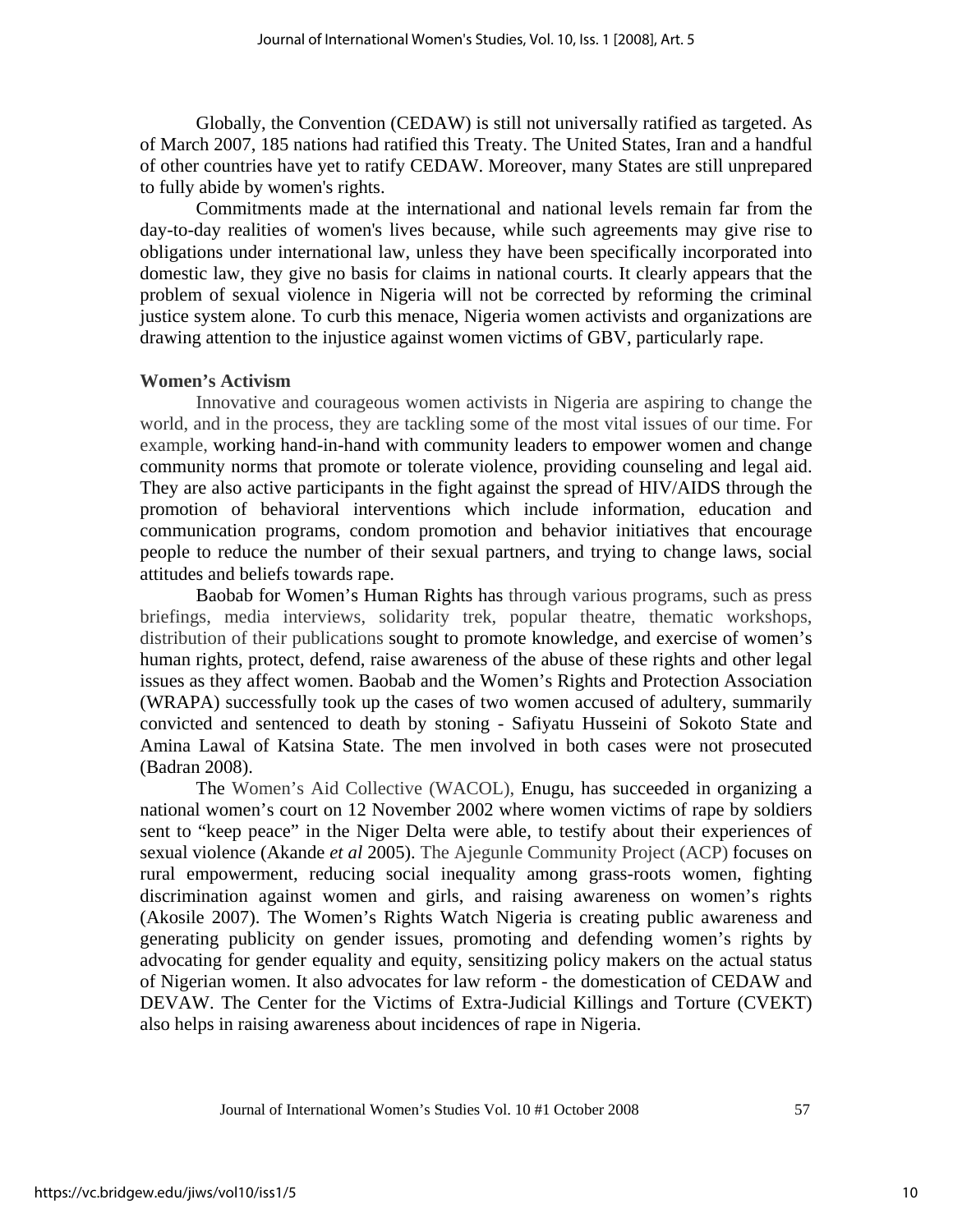Globally, the Convention (CEDAW) is still not universally ratified as targeted. As of March 2007, 185 nations had ratified this Treaty. The United States, Iran and a handful of other countries have yet to ratify CEDAW. Moreover, many States are still unprepared to fully abide by women's rights.

Commitments made at the international and national levels remain far from the day-to-day realities of women's lives because, while such agreements may give rise to obligations under international law, unless they have been specifically incorporated into domestic law, they give no basis for claims in national courts. It clearly appears that the problem of sexual violence in Nigeria will not be corrected by reforming the criminal justice system alone. To curb this menace, Nigeria women activists and organizations are drawing attention to the injustice against women victims of GBV, particularly rape.

### **Women's Activism**

Innovative and courageous women activists in Nigeria are aspiring to change the world, and in the process, they are tackling some of the most vital issues of our time. For example, working hand-in-hand with community leaders to empower women and change community norms that promote or tolerate violence, providing counseling and legal aid. They are also active participants in the fight against the spread of HIV/AIDS through the promotion of behavioral interventions which include information, education and communication programs, condom promotion and behavior initiatives that encourage people to reduce the number of their sexual partners, and trying to change laws, social attitudes and beliefs towards rape.

Baobab for Women's Human Rights has through various programs, such as press briefings, media interviews, solidarity trek, popular theatre, thematic workshops, distribution of their publications sought to promote knowledge, and exercise of women's human rights, protect, defend, raise awareness of the abuse of these rights and other legal issues as they affect women. Baobab and the Women's Rights and Protection Association (WRAPA) successfully took up the cases of two women accused of adultery, summarily convicted and sentenced to death by stoning - Safiyatu Husseini of Sokoto State and Amina Lawal of Katsina State. The men involved in both cases were not prosecuted (Badran 2008).

The Women's Aid Collective (WACOL), Enugu, has succeeded in organizing a national women's court on 12 November 2002 where women victims of rape by soldiers sent to "keep peace" in the Niger Delta were able, to testify about their experiences of sexual violence (Akande *et al* 2005). The Ajegunle Community Project (ACP) focuses on rural empowerment, reducing social inequality among grass-roots women, fighting discrimination against women and girls, and raising awareness on women's rights (Akosile 2007). The Women's Rights Watch Nigeria is creating public awareness and generating publicity on gender issues, promoting and defending women's rights by advocating for gender equality and equity, sensitizing policy makers on the actual status of Nigerian women. It also advocates for law reform - the domestication of CEDAW and DEVAW. The Center for the Victims of Extra-Judicial Killings and Torture (CVEKT) also helps in raising awareness about incidences of rape in Nigeria.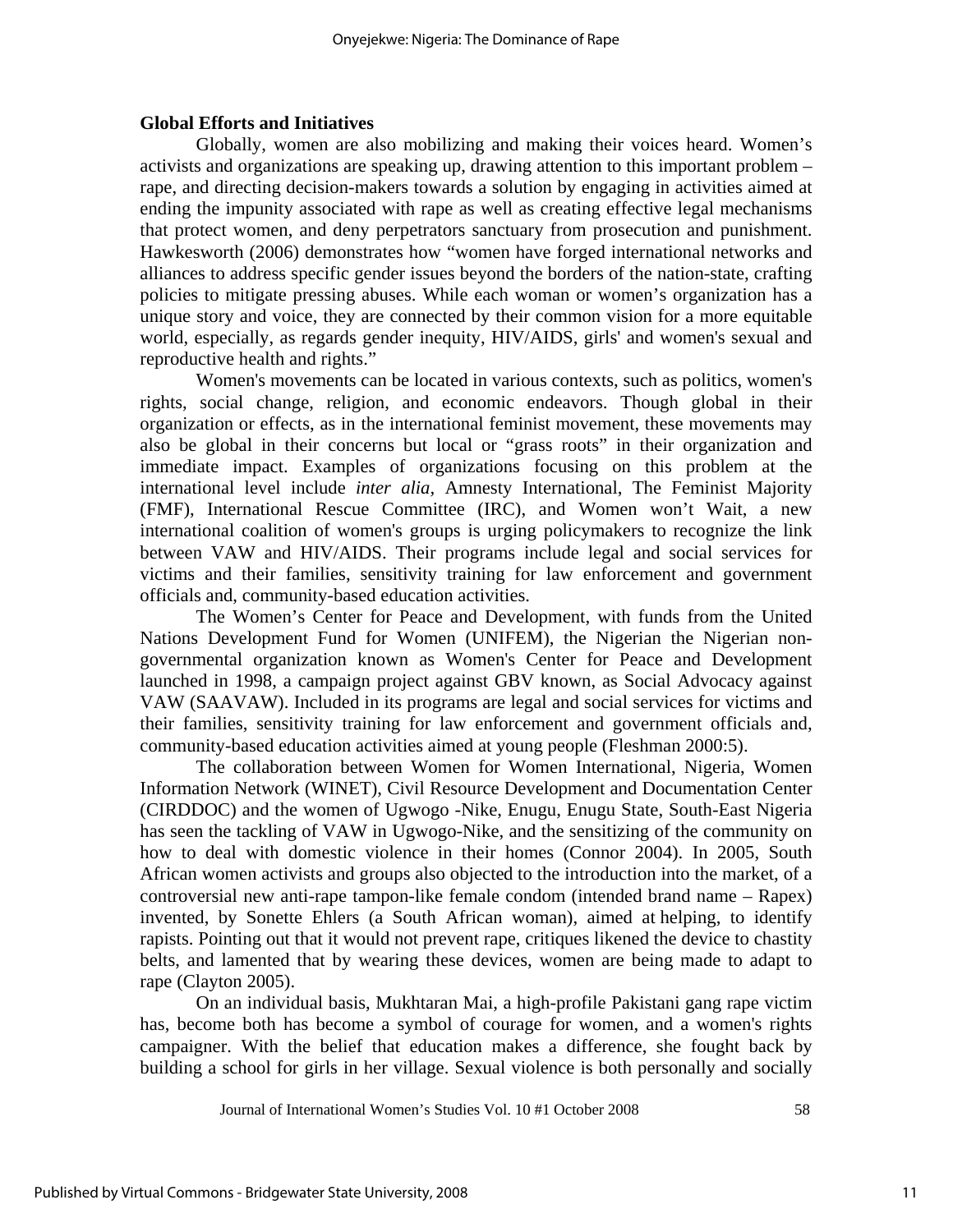### **Global Efforts and Initiatives**

Globally, women are also mobilizing and making their voices heard. Women's activists and organizations are speaking up, drawing attention to this important problem – rape, and directing decision-makers towards a solution by engaging in activities aimed at ending the impunity associated with rape as well as creating effective legal mechanisms that protect women, and deny perpetrators sanctuary from prosecution and punishment. Hawkesworth (2006) demonstrates how "women have forged international networks and alliances to address specific gender issues beyond the borders of the nation-state, crafting policies to mitigate pressing abuses. While each woman or women's organization has a unique story and voice, they are connected by their common vision for a more equitable world, especially, as regards gender inequity, HIV/AIDS, girls' and women's sexual and reproductive health and rights."

Women's movements can be located in various contexts, such as politics, women's rights, social change, religion, and economic endeavors. Though global in their organization or effects, as in the international feminist movement, these movements may also be global in their concerns but local or "grass roots" in their organization and immediate impact. Examples of organizations focusing on this problem at the international level include *inter alia,* Amnesty International, The Feminist Majority (FMF), International Rescue Committee (IRC), and Women won't Wait, a new international coalition of women's groups is urging policymakers to recognize the link between VAW and HIV/AIDS. Their programs include legal and social services for victims and their families, sensitivity training for law enforcement and government officials and, community-based education activities.

The Women's Center for Peace and Development, with funds from the United Nations Development Fund for Women (UNIFEM), the Nigerian the Nigerian nongovernmental organization known as Women's Center for Peace and Development launched in 1998, a campaign project against GBV known, as Social Advocacy against VAW (SAAVAW). Included in its programs are legal and social services for victims and their families, sensitivity training for law enforcement and government officials and, community-based education activities aimed at young people (Fleshman 2000:5).

The collaboration between Women for Women International, Nigeria, Women Information Network (WINET), Civil Resource Development and Documentation Center (CIRDDOC) and the women of Ugwogo -Nike, Enugu, Enugu State, South-East Nigeria has seen the tackling of VAW in Ugwogo-Nike, and the sensitizing of the community on how to deal with domestic violence in their homes (Connor 2004). In 2005, South African women activists and groups also objected to the introduction into the market, of a controversial new anti-rape tampon-like female condom (intended brand name – Rapex) invented, by Sonette Ehlers (a South African woman), aimed at helping, to identify rapists. Pointing out that it would not prevent rape, critiques likened the device to chastity belts, and lamented that by wearing these devices, women are being made to adapt to rape (Clayton 2005).

On an individual basis, Mukhtaran Mai, a high-profile Pakistani gang rape victim has, become both has become a symbol of courage for women, and a women's rights campaigner. With the belief that education makes a difference, she fought back by building a school for girls in her village. Sexual violence is both personally and socially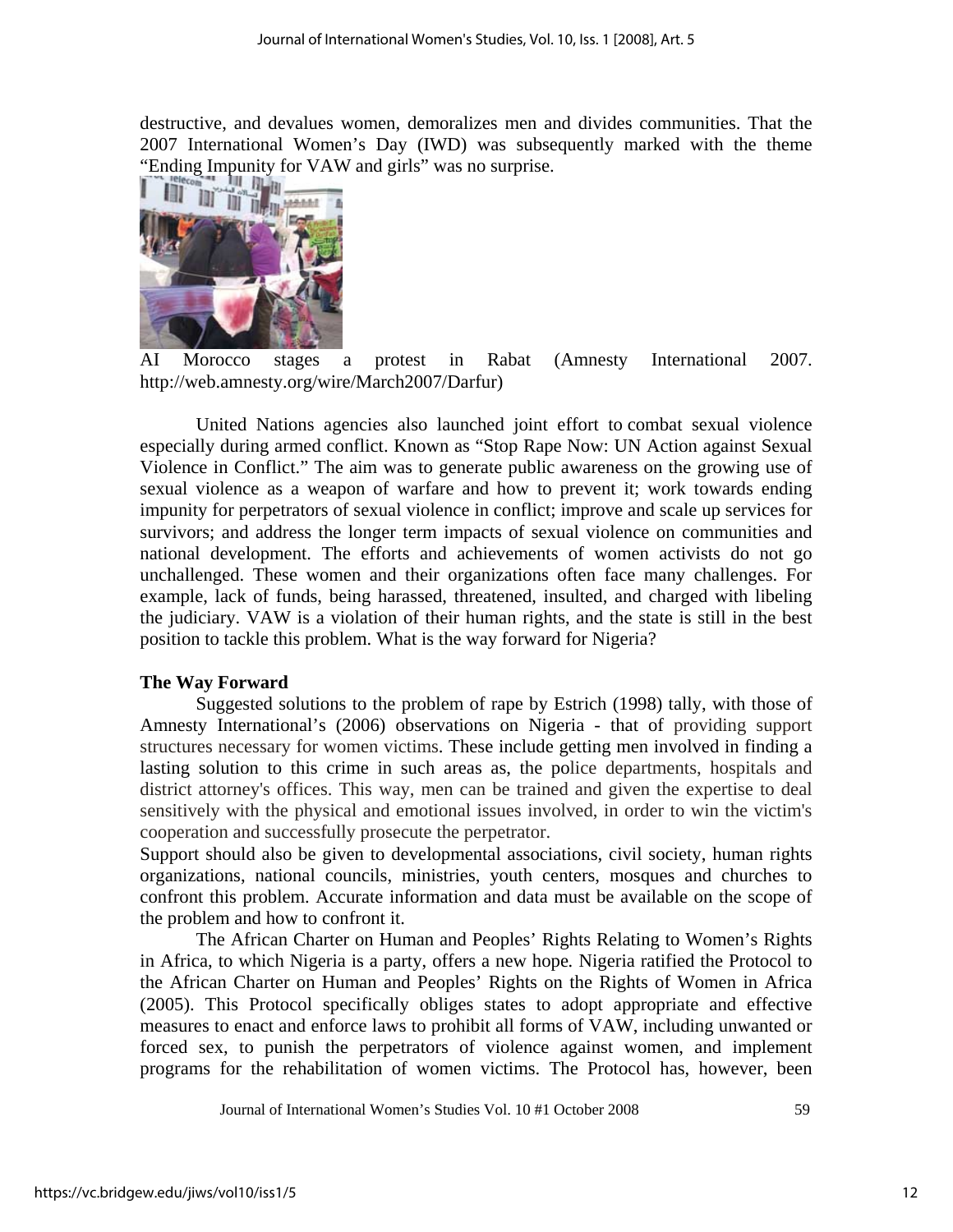destructive, and devalues women, demoralizes men and divides communities. That the 2007 International Women's Day (IWD) was subsequently marked with the theme "Ending Impunity for VAW and girls" was no surprise.



AI Morocco stages a protest in Rabat (Amnesty International 2007. http://web.amnesty.org/wire/March2007/Darfur)

United Nations agencies also launched joint effort to combat sexual violence especially during armed conflict. Known as "Stop Rape Now: UN Action against Sexual Violence in Conflict." The aim was to generate public awareness on the growing use of sexual violence as a weapon of warfare and how to prevent it; work towards ending impunity for perpetrators of sexual violence in conflict; improve and scale up services for survivors; and address the longer term impacts of sexual violence on communities and national development. The efforts and achievements of women activists do not go unchallenged. These women and their organizations often face many challenges. For example, lack of funds, being harassed, threatened, insulted, and charged with libeling the judiciary. VAW is a violation of their human rights, and the state is still in the best position to tackle this problem. What is the way forward for Nigeria?

## **The Way Forward**

Suggested solutions to the problem of rape by Estrich (1998) tally, with those of Amnesty International's (2006) observations on Nigeria - that of providing support structures necessary for women victims. These include getting men involved in finding a lasting solution to this crime in such areas as, the police departments, hospitals and district attorney's offices. This way, men can be trained and given the expertise to deal sensitively with the physical and emotional issues involved, in order to win the victim's cooperation and successfully prosecute the perpetrator.

Support should also be given to developmental associations, civil society, human rights organizations, national councils, ministries, youth centers, mosques and churches to confront this problem. Accurate information and data must be available on the scope of the problem and how to confront it.

The African Charter on Human and Peoples' Rights Relating to Women's Rights in Africa, to which Nigeria is a party, offers a new hope*.* Nigeria ratified the Protocol to the African Charter on Human and Peoples' Rights on the Rights of Women in Africa (2005). This Protocol specifically obliges states to adopt appropriate and effective measures to enact and enforce laws to prohibit all forms of VAW, including unwanted or forced sex, to punish the perpetrators of violence against women, and implement programs for the rehabilitation of women victims. The Protocol has, however, been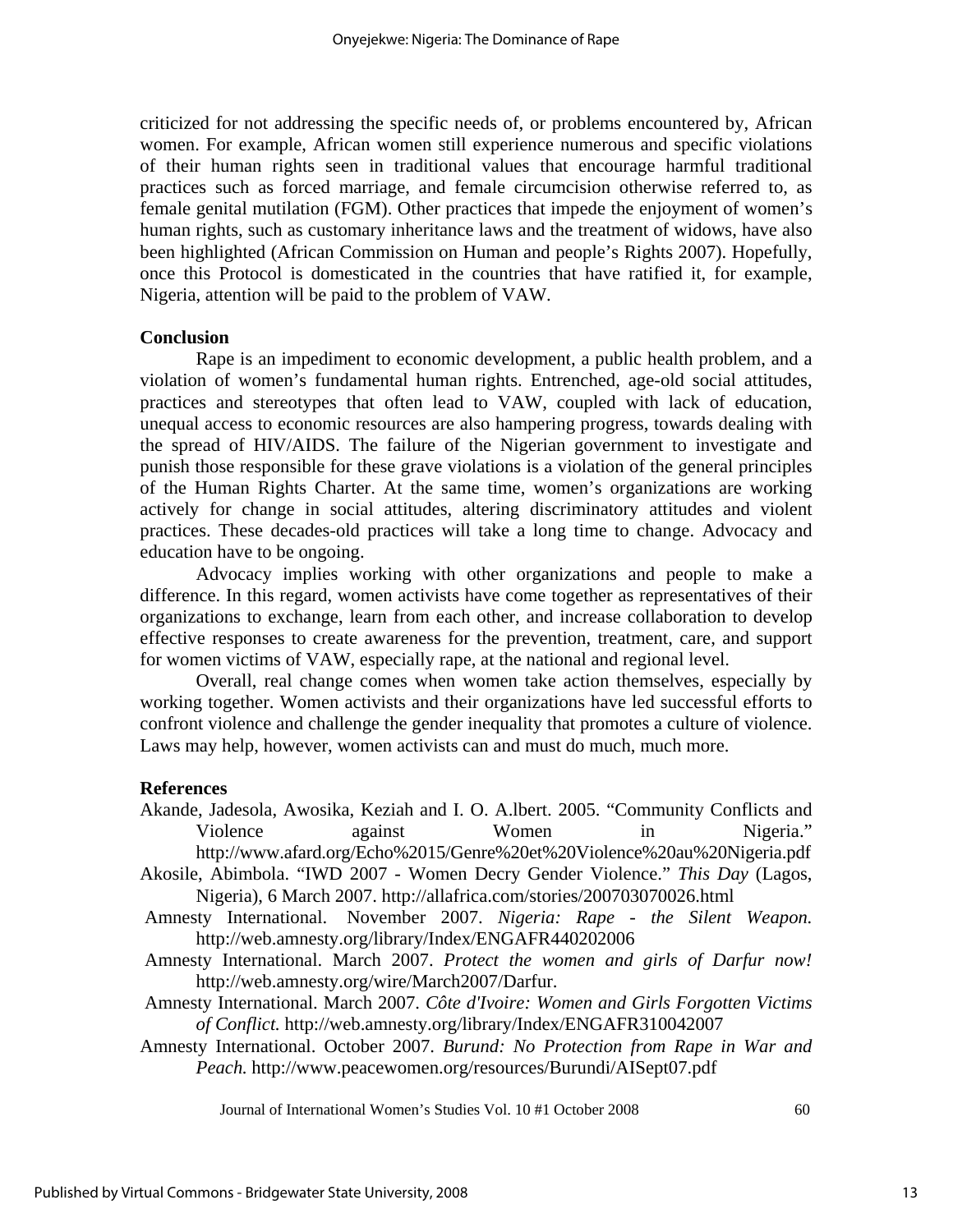criticized for not addressing the specific needs of, or problems encountered by, African women. For example, African women still experience numerous and specific violations of their human rights seen in traditional values that encourage harmful traditional practices such as forced marriage, and female circumcision otherwise referred to, as female genital mutilation (FGM). Other practices that impede the enjoyment of women's human rights, such as customary inheritance laws and the treatment of widows, have also been highlighted (African Commission on Human and people's Rights 2007). Hopefully, once this Protocol is domesticated in the countries that have ratified it, for example, Nigeria, attention will be paid to the problem of VAW.

### **Conclusion**

Rape is an impediment to economic development, a public health problem, and a violation of women's fundamental human rights. Entrenched, age-old social attitudes, practices and stereotypes that often lead to VAW, coupled with lack of education, unequal access to economic resources are also hampering progress, towards dealing with the spread of HIV/AIDS. The failure of the Nigerian government to investigate and punish those responsible for these grave violations is a violation of the general principles of the Human Rights Charter. At the same time, women's organizations are working actively for change in social attitudes, altering discriminatory attitudes and violent practices. These decades-old practices will take a long time to change. Advocacy and education have to be ongoing.

Advocacy implies working with other organizations and people to make a difference. In this regard, women activists have come together as representatives of their organizations to exchange, learn from each other, and increase collaboration to develop effective responses to create awareness for the prevention, treatment, care, and support for women victims of VAW, especially rape, at the national and regional level.

Overall, real change comes when women take action themselves, especially by working together. Women activists and their organizations have led successful efforts to confront violence and challenge the gender inequality that promotes a culture of violence. Laws may help, however, women activists can and must do much, much more.

#### **References**

Akande, Jadesola, Awosika, Keziah and I. O. A.lbert. 2005. "Community Conflicts and Violence against Women in Nigeria." http://www.afard.org/Echo%2015/Genre%20et%20Violence%20au%20Nigeria.pdf Akosile, Abimbola. "IWD 2007 - Women Decry Gender Violence." *This Day* (Lagos,

Nigeria), 6 March 2007. http://allafrica.com/stories/200703070026.html

- Amnesty International. November 2007. *Nigeria: Rape the Silent Weapon.* http://web.amnesty.org/library/Index/ENGAFR440202006
- Amnesty International. March 2007. *Protect the women and girls of Darfur now!* http://web.amnesty.org/wire/March2007/Darfur.
- Amnesty International. March 2007. *Côte d'Ivoire: Women and Girls Forgotten Victims of Conflict.* http://web.amnesty.org/library/Index/ENGAFR310042007
- Amnesty International. October 2007. *Burund: No Protection from Rape in War and Peach.* http://www.peacewomen.org/resources/Burundi/AISept07.pdf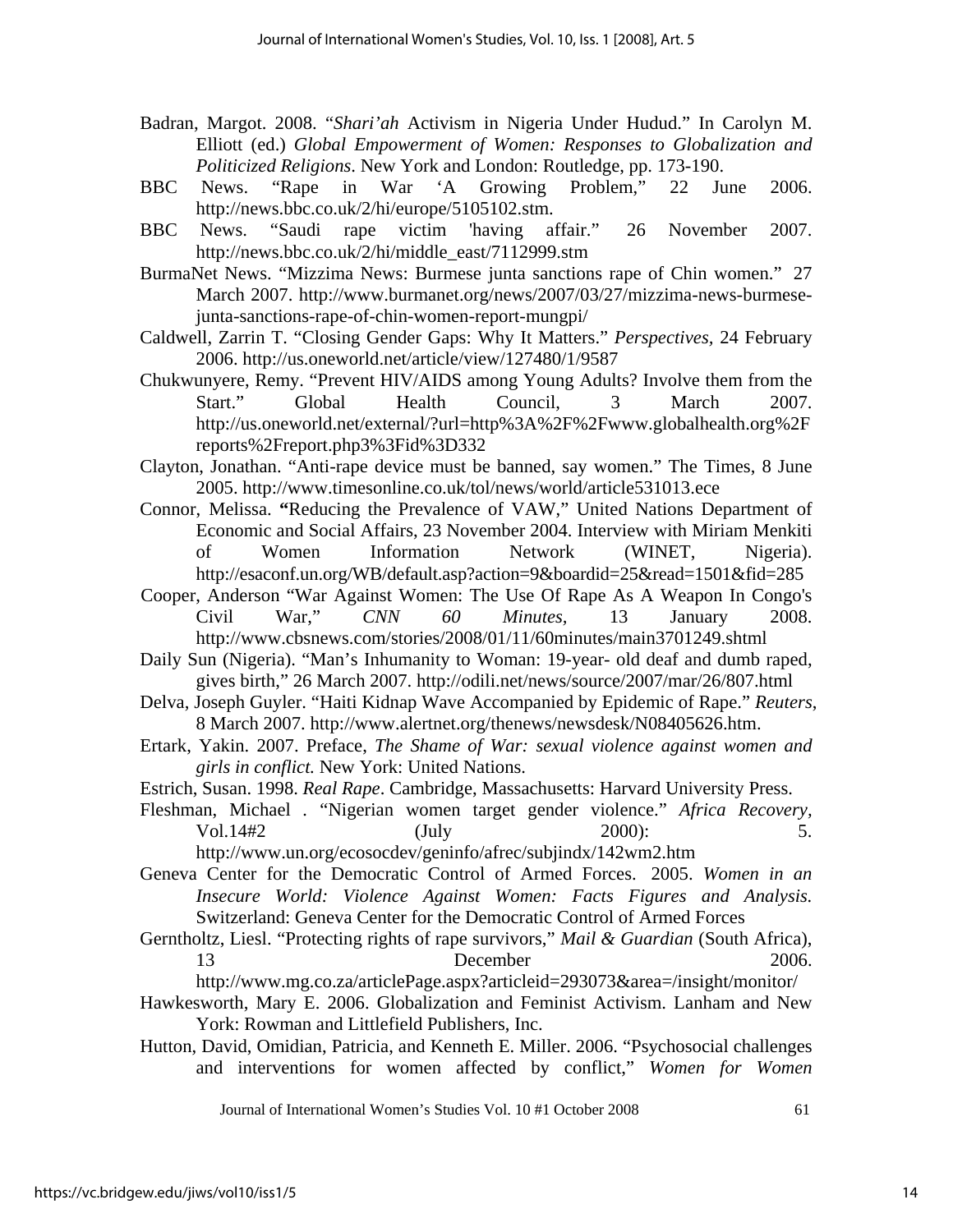- Badran, Margot. 2008. "*Shari'ah* Activism in Nigeria Under Hudud." In Carolyn M. Elliott (ed.) *Global Empowerment of Women: Responses to Globalization and Politicized Religions*. New York and London: Routledge, pp. 173-190.
- BBC News. "Rape in War 'A Growing Problem," 22 June 2006. http://news.bbc.co.uk/2/hi/europe/5105102.stm.
- BBC News. "Saudi rape victim 'having affair." 26 November 2007. http://news.bbc.co.uk/2/hi/middle\_east/7112999.stm
- BurmaNet News. ["Mizzima News: Burmese junta sanctions rape of Chin women."](http://www.burmanet.org/news/2007/03/27/mizzima-news-burmese-junta-sanctions-rape-of-chin-women-report-mungpi/) 27 March 2007. http://www.burmanet.org/news/2007/03/27/mizzima-news-burmesejunta-sanctions-rape-of-chin-women-report-mungpi/
- Caldwell, Zarrin T. "Closing Gender Gaps: Why It Matters." *Perspectives,* 24 February 2006. http://us.oneworld.net/article/view/127480/1/9587
- Chukwunyere, Remy. "Prevent HIV/AIDS among Young Adults? Involve them from the Start." Global Health Council, 3 March 2007. http://us.oneworld.net/external/?url=http%3A%2F%2Fwww.globalhealth.org%2F reports%2Freport.php3%3Fid%3D332
- Clayton, Jonathan. "Anti-rape device must be banned, say women." The Times, 8 June 2005. http://www.timesonline.co.uk/tol/news/world/article531013.ece
- Connor, Melissa. **"**Reducing the Prevalence of VAW," United Nations Department of Economic and Social Affairs, 23 November 2004. Interview with Miriam Menkiti of Women Information Network (WINET, Nigeria). http://esaconf.un.org/WB/default.asp?action=9&boardid=25&read=1501&fid=285
- Cooper, Anderson "War Against Women: The Use Of Rape As A Weapon In Congo's Civil War," *CNN 60 Minutes,* 13 January 2008. http://www.cbsnews.com/stories/2008/01/11/60minutes/main3701249.shtml
- Daily Sun (Nigeria). "Man's Inhumanity to Woman: 19-year- old deaf and dumb raped, gives birth," 26 March 2007. http://odili.net/news/source/2007/mar/26/807.html
- Delva, Joseph Guyler. "Haiti Kidnap Wave Accompanied by Epidemic of Rape." *Reuters*, 8 March 2007. http://www.alertnet.org/thenews/newsdesk/N08405626.htm.
- Ertark, Yakin. 2007. Preface, *The Shame of War: sexual violence against women and girls in conflict.* New York: United Nations.
- Estrich, Susan. 1998. *Real Rape*. Cambridge, Massachusetts: Harvard University Press.
- Fleshman, Michael *.* "Nigerian women target gender violence." *Africa Recovery,*  Vol.14#2 (July 2000): 5.

http://www.un.org/ecosocdev/geninfo/afrec/subjindx/142wm2.htm

- Geneva Center for the Democratic Control of Armed Forces. 2005. *Women in an Insecure World: Violence Against Women: Facts Figures and Analysis.* Switzerland: Geneva Center for the Democratic Control of Armed Forces
- Gerntholtz, Liesl. "Protecting rights of rape survivors," *Mail & Guardian* (South Africa), 13 December 2006.
	- http://www.mg.co.za/articlePage.aspx?articleid=293073&area=/insight/monitor/
- Hawkesworth, Mary E. 2006. Globalization and Feminist Activism. Lanham and New York: Rowman and Littlefield Publishers, Inc.
- Hutton, David, Omidian, Patricia, and Kenneth E. Miller. 2006. "Psychosocial challenges and interventions for women affected by conflict," *Women for Women*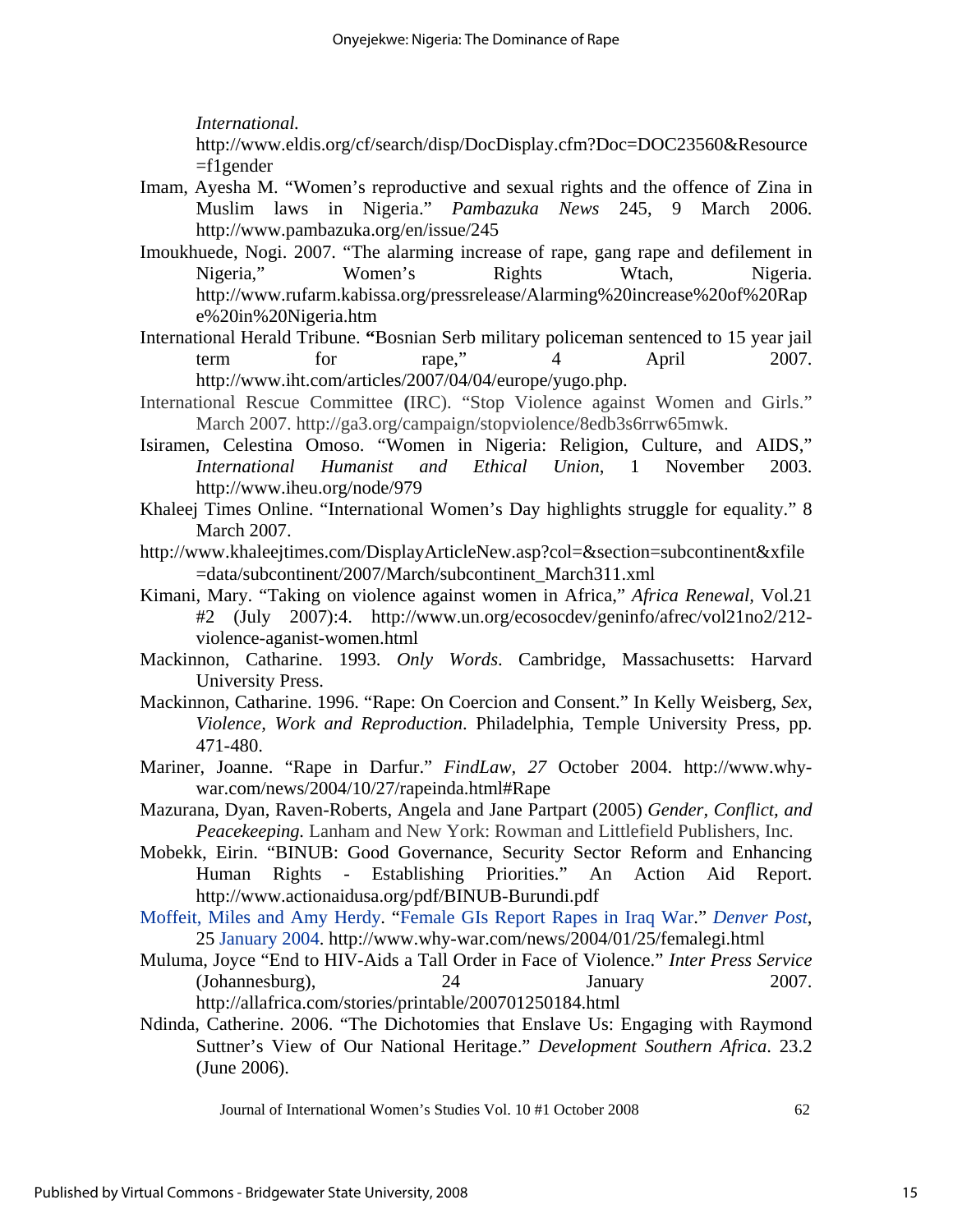*International.*

http://www.eldis.org/cf/search/disp/DocDisplay.cfm?Doc=DOC23560&Resource  $=$ f1gender

- Imam, Ayesha M. "Women's reproductive and sexual rights and the offence of Zina in Muslim laws in Nigeria." *Pambazuka News* 245, 9 March 2006. http://www.pambazuka.org/en/issue/245
- Imoukhuede, Nogi. 2007. "The alarming increase of rape, gang rape and defilement in Nigeria," Women's Rights Wtach, Nigeria. http://www.rufarm.kabissa.org/pressrelease/Alarming%20increase%20of%20Rap e%20in%20Nigeria.htm
- International Herald Tribune. **"**Bosnian Serb military policeman sentenced to 15 year jail term for rape," 4 April 2007. http://www.iht.com/articles/2007/04/04/europe/yugo.php.
- International Rescue Committee **(**IRC). "Stop Violence against Women and Girls." March 2007. http://ga3.org/campaign/stopviolence/8edb3s6rrw65mwk.
- Isiramen, Celestina Omoso. "Women in Nigeria: Religion, Culture, and AIDS," *International Humanist and Ethical Union*, 1 November 2003. http://www.iheu.org/node/979
- Khaleej Times Online. "International Women's Day highlights struggle for equality." 8 March 2007.
- http://www.khaleejtimes.com/DisplayArticleNew.asp?col=&section=subcontinent&xfile =data/subcontinent/2007/March/subcontinent\_March311.xml
- Kimani, Mary. "Taking on violence against women in Africa," *Africa Renewal,* Vol.21 #2 (July 2007):4. http://www.un.org/ecosocdev/geninfo/afrec/vol21no2/212 violence-aganist-women.html
- Mackinnon, Catharine. 1993. *Only Words*. Cambridge, Massachusetts: Harvard University Press.
- Mackinnon, Catharine. 1996. "Rape: On Coercion and Consent." In Kelly Weisberg, *Sex, Violence, Work and Reproduction*. Philadelphia, Temple University Press, pp. 471-480.
- Mariner, Joanne. "Rape in Darfur." *[FindLaw,](http://www.why-war.com/news/sources/findlaw) 27* [October 2004](http://www.why-war.com/news/2004/10/27/). http://www.whywar.com/news/2004/10/27/rapeinda.html#Rape
- Mazurana, Dyan, Raven-Roberts, Angela and Jane Partpart (2005) *Gender, Conflict, and Peacekeeping.* Lanham and New York: Rowman and Littlefield Publishers, Inc.
- Mobekk, Eirin. "BINUB: Good Governance, Security Sector Reform and Enhancing Human Rights - Establishing Priorities." An Action Aid Report. http://www.actionaidusa.org/pdf/BINUB-Burundi.pdf
- [Moffeit, Miles and Amy Herdy.](http://www.why-war.com/news/author.php?name=Miles+Moffeit+and+Amy+Herdy) ["Female GIs Report Rapes in Iraq War.](http://www.denverpost.com/cda/article/print/0,1674,36%7E6439%7E1913069,00.html)" *[Denver Post](http://www.why-war.com/news/sources/denverpost)*, 25 [January 2004](http://www.why-war.com/news/2004/01/25/). http://www.why-war.com/news/2004/01/25/femalegi.html
- Muluma, Joyce "End to HIV-Aids a Tall Order in Face of Violence." *Inter Press Service* (Johannesburg), 24 January 2007. http://allafrica.com/stories/printable/200701250184.html
- Ndinda, Catherine. 2006. "The Dichotomies that Enslave Us: Engaging with Raymond Suttner's View of Our National Heritage." *Development Southern Africa*. 23.2 (June 2006).